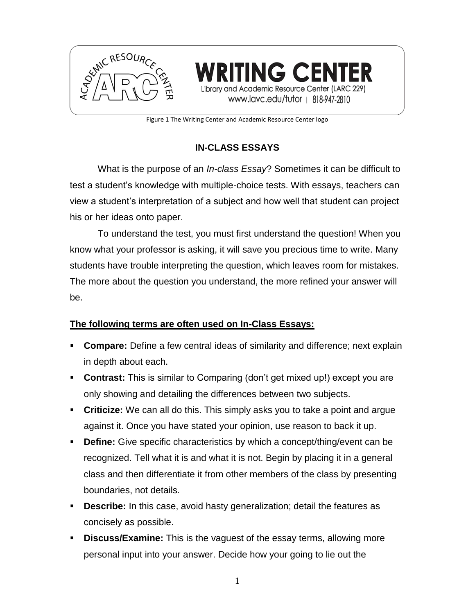

ING CEI ademic Resource Center (LARC 229) www.lavc.edu/tutor | 818-947-2810

Figure 1 The Writing Center and Academic Resource Center logo

# **IN-CLASS ESSAYS**

What is the purpose of an *In-class Essay*? Sometimes it can be difficult to test a student's knowledge with multiple-choice tests. With essays, teachers can view a student's interpretation of a subject and how well that student can project his or her ideas onto paper.

To understand the test, you must first understand the question! When you know what your professor is asking, it will save you precious time to write. Many students have trouble interpreting the question, which leaves room for mistakes. The more about the question you understand, the more refined your answer will be.

# **The following terms are often used on In-Class Essays:**

- **Compare:** Define a few central ideas of similarity and difference; next explain in depth about each.
- **Contrast:** This is similar to Comparing (don't get mixed up!) except you are only showing and detailing the differences between two subjects.
- **Criticize:** We can all do this. This simply asks you to take a point and argue against it. Once you have stated your opinion, use reason to back it up.
- **Define:** Give specific characteristics by which a concept/thing/event can be recognized. Tell what it is and what it is not. Begin by placing it in a general class and then differentiate it from other members of the class by presenting boundaries, not details.
- **Describe:** In this case, avoid hasty generalization; detail the features as concisely as possible.
- **Discuss/Examine:** This is the vaguest of the essay terms, allowing more personal input into your answer. Decide how your going to lie out the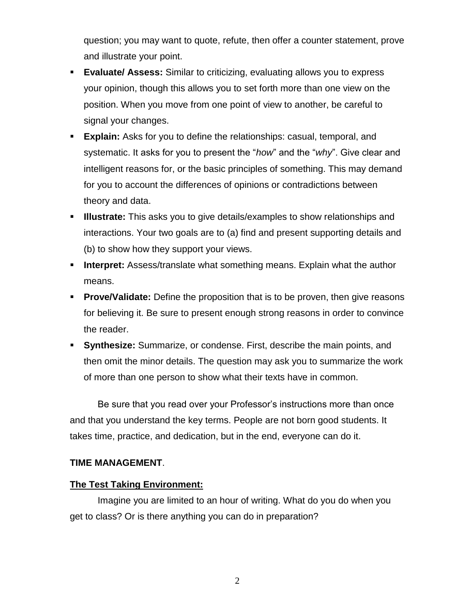question; you may want to quote, refute, then offer a counter statement, prove and illustrate your point.

- **Evaluate/ Assess:** Similar to criticizing, evaluating allows you to express your opinion, though this allows you to set forth more than one view on the position. When you move from one point of view to another, be careful to signal your changes.
- **Explain:** Asks for you to define the relationships: casual, temporal, and systematic. It asks for you to present the "*how*" and the "*why*". Give clear and intelligent reasons for, or the basic principles of something. This may demand for you to account the differences of opinions or contradictions between theory and data.
- **Illustrate:** This asks you to give details/examples to show relationships and interactions. Your two goals are to (a) find and present supporting details and (b) to show how they support your views.
- **Interpret:** Assess/translate what something means. Explain what the author means.
- **Prove/Validate:** Define the proposition that is to be proven, then give reasons for believing it. Be sure to present enough strong reasons in order to convince the reader.
- **Synthesize:** Summarize, or condense. First, describe the main points, and then omit the minor details. The question may ask you to summarize the work of more than one person to show what their texts have in common.

Be sure that you read over your Professor's instructions more than once and that you understand the key terms. People are not born good students. It takes time, practice, and dedication, but in the end, everyone can do it.

## **TIME MANAGEMENT**.

## **The Test Taking Environment:**

Imagine you are limited to an hour of writing. What do you do when you get to class? Or is there anything you can do in preparation?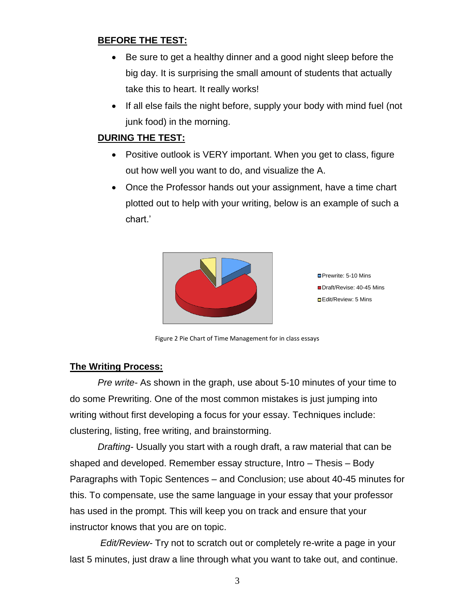# **BEFORE THE TEST:**

- Be sure to get a healthy dinner and a good night sleep before the big day. It is surprising the small amount of students that actually take this to heart. It really works!
- If all else fails the night before, supply your body with mind fuel (not junk food) in the morning.

# **DURING THE TEST:**

- Positive outlook is VERY important. When you get to class, figure out how well you want to do, and visualize the A.
- Once the Professor hands out your assignment, have a time chart plotted out to help with your writing, below is an example of such a chart.'



**Prewrite: 5-10 Mins** ■Draft/Revise: 40-45 Mins Edit/Review: 5 Mins

Figure 2 Pie Chart of Time Management for in class essays

## **The Writing Process:**

*Pre write-* As shown in the graph, use about 5-10 minutes of your time to do some Prewriting. One of the most common mistakes is just jumping into writing without first developing a focus for your essay. Techniques include: clustering, listing, free writing, and brainstorming.

*Drafting-* Usually you start with a rough draft, a raw material that can be shaped and developed. Remember essay structure, Intro – Thesis – Body Paragraphs with Topic Sentences – and Conclusion; use about 40-45 minutes for this. To compensate, use the same language in your essay that your professor has used in the prompt. This will keep you on track and ensure that your instructor knows that you are on topic.

*Edit/Review*- Try not to scratch out or completely re-write a page in your last 5 minutes, just draw a line through what you want to take out, and continue.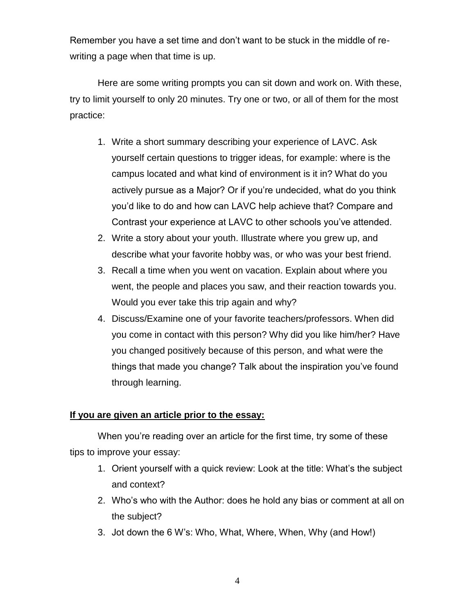Remember you have a set time and don't want to be stuck in the middle of rewriting a page when that time is up.

Here are some writing prompts you can sit down and work on. With these, try to limit yourself to only 20 minutes. Try one or two, or all of them for the most practice:

- 1. Write a short summary describing your experience of LAVC. Ask yourself certain questions to trigger ideas, for example: where is the campus located and what kind of environment is it in? What do you actively pursue as a Major? Or if you're undecided, what do you think you'd like to do and how can LAVC help achieve that? Compare and Contrast your experience at LAVC to other schools you've attended.
- 2. Write a story about your youth. Illustrate where you grew up, and describe what your favorite hobby was, or who was your best friend.
- 3. Recall a time when you went on vacation. Explain about where you went, the people and places you saw, and their reaction towards you. Would you ever take this trip again and why?
- 4. Discuss/Examine one of your favorite teachers/professors. When did you come in contact with this person? Why did you like him/her? Have you changed positively because of this person, and what were the things that made you change? Talk about the inspiration you've found through learning.

## **If you are given an article prior to the essay:**

When you're reading over an article for the first time, try some of these tips to improve your essay:

- 1. Orient yourself with a quick review: Look at the title: What's the subject and context?
- 2. Who's who with the Author: does he hold any bias or comment at all on the subject?
- 3. Jot down the 6 W's: Who, What, Where, When, Why (and How!)